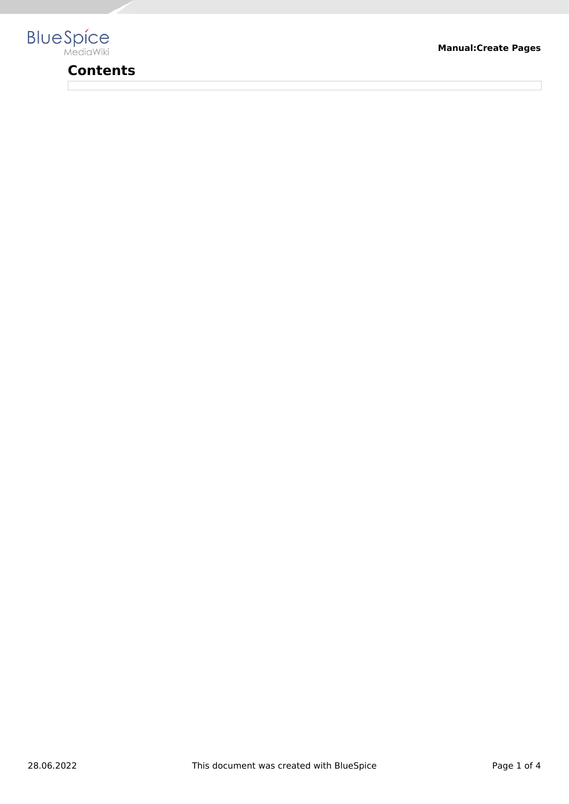

# **Contents**

**Manual:Create Pages**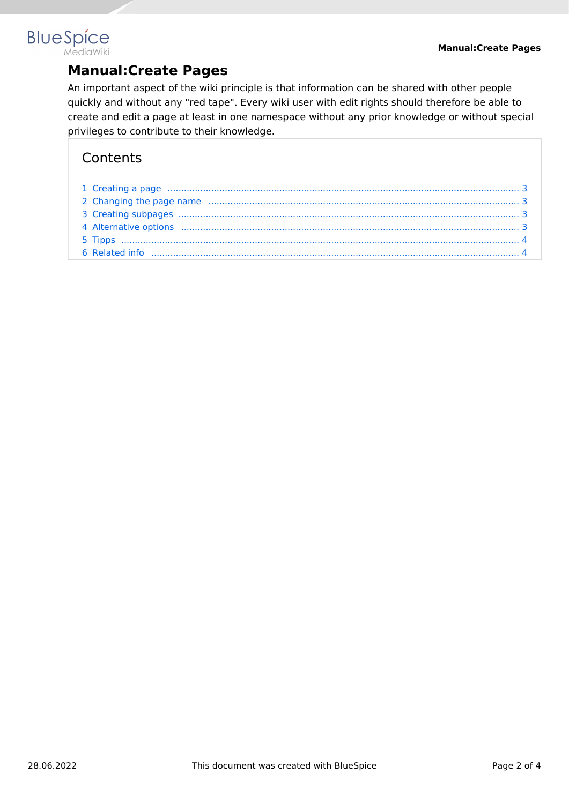## **BlueSpice MediaWiki**

# **Manual:Create Pages**

An important aspect of the wiki principle is that information can be shared with other people quickly and without any "red tape". Every wiki user with edit rights should therefore be able to create and edit a page at least in one namespace without any prior knowledge or without special privileges to contribute to their knowledge.

# **Contents**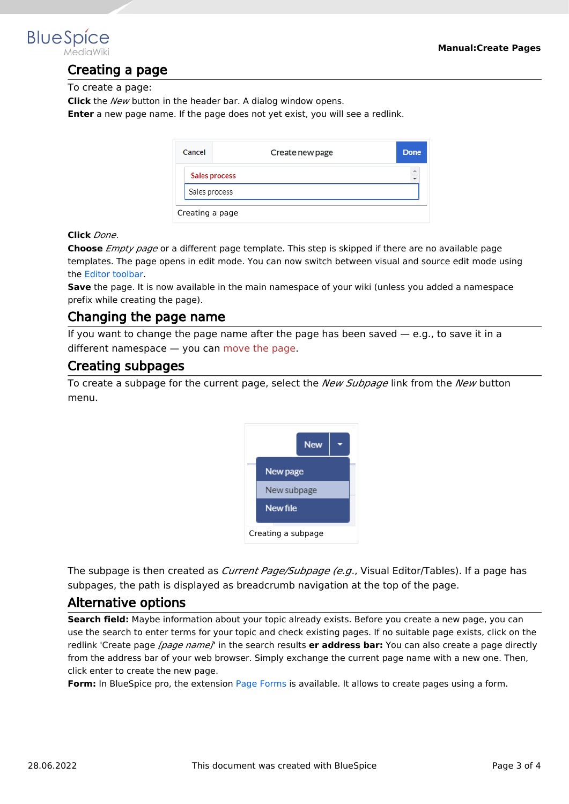<span id="page-2-0"></span>

## Creating a page

To create a page:

**Click** the *New* button in the header bar. A dialog window opens.

**Enter** a new page name. If the page does not yet exist, you will see a redlink.

| Cancel          | Create new page | Done      |  |  |
|-----------------|-----------------|-----------|--|--|
|                 | Sales process   | $\hat{=}$ |  |  |
| Sales process   |                 |           |  |  |
| Creating a page |                 |           |  |  |

#### **Click** *Done*.

**Choose** *Empty page* or a different page template. This step is skipped if there are no available page templates. The page opens in edit mode. You can now switch between visual and source edit mode using the [Editor toolbar.](https://en.wiki.bluespice.com/wiki/Manual:Extension/VisualEditor)

**Save** the page. It is now available in the main namespace of your wiki (unless you added a namespace prefix while creating the page).

### <span id="page-2-1"></span>Changing the page name

If you want to change the page name after the page has been saved  $-$  e.g., to save it in a different namespace — you can [move the page](https://en.wiki.bluespice.com/w/index.php?title=Manual:Rename_and_move_a_page&action=view).

#### <span id="page-2-2"></span>Creating subpages

To create a subpage for the current page, select the *New Subpage* link from the *New* button menu.



The subpage is then created as *Current Page/Subpage (e.g*., Visual Editor/Tables). If a page has subpages, the path is displayed as breadcrumb navigation at the top of the page.

#### <span id="page-2-3"></span>Alternative options

**Search field:** Maybe information about your topic already exists. Before you create a new page, you can use the search to enter terms for your topic and check existing pages. If no suitable page exists, click on the redlink 'Create page *[page name]*' in the search results **er address bar:** You can also create a page directly from the address bar of your web browser. Simply exchange the current page name with a new one. Then, click enter to create the new page.

**Form:** In BlueSpice pro, the extension [Page Forms](https://en.wiki.bluespice.com/wiki/Reference:Page_Forms) is available. It allows to create pages using a form.